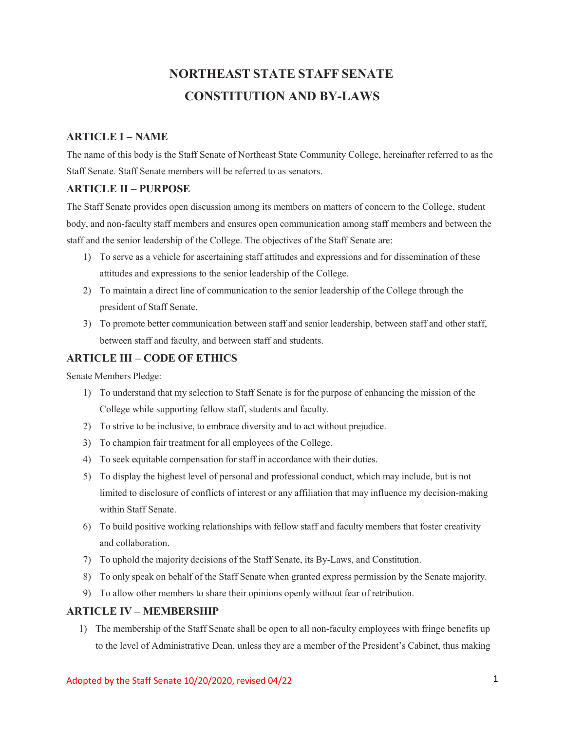# **NORTHEAST STATE STAFF SENATE CONSTITUTION AND BY-LAWS**

# **ARTICLE I – NAME**

The name of this body is the Staff Senate of Northeast State Community College, hereinafter referred to as the Staff Senate. Staff Senate members will be referred to as senators.

## **ARTICLE II – PURPOSE**

The Staff Senate provides open discussion among its members on matters of concern to the College, student body, and non-faculty staff members and ensures open communication among staff members and between the staff and the senior leadership of the College. The objectives of the Staff Senate are:

- 1) To serve as a vehicle for ascertaining staff attitudes and expressions and for dissemination of these attitudes and expressions to the senior leadership of the College.
- 2) To maintain a direct line of communication to the senior leadership of the College through the president of Staff Senate.
- 3) To promote better communication between staff and senior leadership, between staff and other staff, between staff and faculty, and between staff and students.

## **ARTICLE III – CODE OF ETHICS**

Senate Members Pledge:

- 1) To understand that my selection to Staff Senate is for the purpose of enhancing the mission of the College while supporting fellow staff, students and faculty.
- 2) To strive to be inclusive, to embrace diversity and to act without prejudice.
- 3) To champion fair treatment for all employees of the College.
- 4) To seek equitable compensation for staff in accordance with their duties.
- 5) To display the highest level of personal and professional conduct, which may include, but is not limited to disclosure of conflicts of interest or any affiliation that may influence my decision-making within Staff Senate.
- 6) To build positive working relationships with fellow staff and faculty members that foster creativity and collaboration.
- 7) To uphold the majority decisions of the Staff Senate, its By-Laws, and Constitution.
- 8) To only speak on behalf of the Staff Senate when granted express permission by the Senate majority.
- 9) To allow other members to share their opinions openly without fear of retribution.

#### **ARTICLE IV – MEMBERSHIP**

1) The membership of the Staff Senate shall be open to all non-faculty employees with fringe benefits up to the level of Administrative Dean, unless they are a member of the President's Cabinet, thus making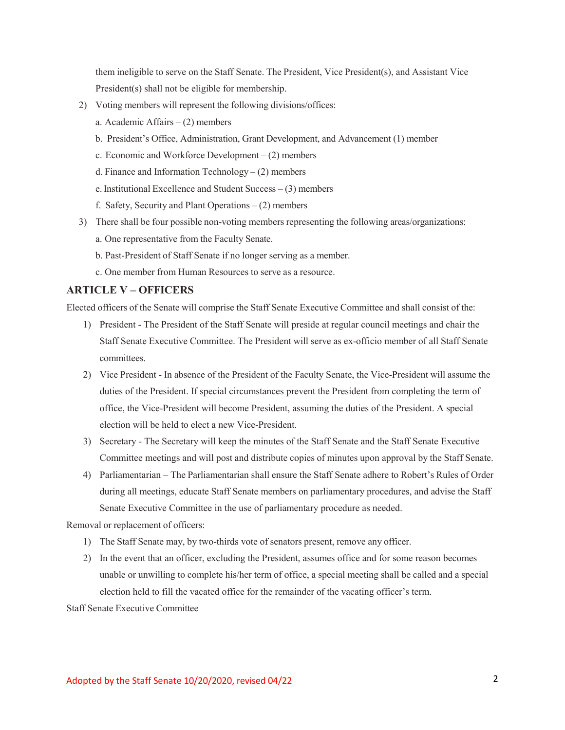them ineligible to serve on the Staff Senate. The President, Vice President(s), and Assistant Vice President(s) shall not be eligible for membership.

- 2) Voting members will represent the following divisions/offices:
	- a. Academic Affairs (2) members
	- b. President's Office, Administration, Grant Development, and Advancement (1) member
	- c. Economic and Workforce Development  $(2)$  members
	- d. Finance and Information Technology  $-$  (2) members
	- e.Institutional Excellence and Student Success (3) members
	- f. Safety, Security and Plant Operations (2) members
- 3) There shall be four possible non-voting members representing the following areas/organizations:
	- a. One representative from the Faculty Senate.
	- b. Past-President of Staff Senate if no longer serving as a member.
	- c. One member from Human Resources to serve as a resource.

#### **ARTICLE V – OFFICERS**

Elected officers of the Senate will comprise the Staff Senate Executive Committee and shall consist of the:

- 1) President The President of the Staff Senate will preside at regular council meetings and chair the Staff Senate Executive Committee. The President will serve as ex-officio member of all Staff Senate committees.
- 2) Vice President In absence of the President of the Faculty Senate, the Vice-President will assume the duties of the President. If special circumstances prevent the President from completing the term of office, the Vice-President will become President, assuming the duties of the President. A special election will be held to elect a new Vice-President.
- 3) Secretary The Secretary will keep the minutes of the Staff Senate and the Staff Senate Executive Committee meetings and will post and distribute copies of minutes upon approval by the Staff Senate.
- 4) Parliamentarian The Parliamentarian shall ensure the Staff Senate adhere to Robert's Rules of Order during all meetings, educate Staff Senate members on parliamentary procedures, and advise the Staff Senate Executive Committee in the use of parliamentary procedure as needed.

Removal or replacement of officers:

- 1) The Staff Senate may, by two-thirds vote of senators present, remove any officer.
- 2) In the event that an officer, excluding the President, assumes office and for some reason becomes unable or unwilling to complete his/her term of office, a special meeting shall be called and a special election held to fill the vacated office for the remainder of the vacating officer's term.

Staff Senate Executive Committee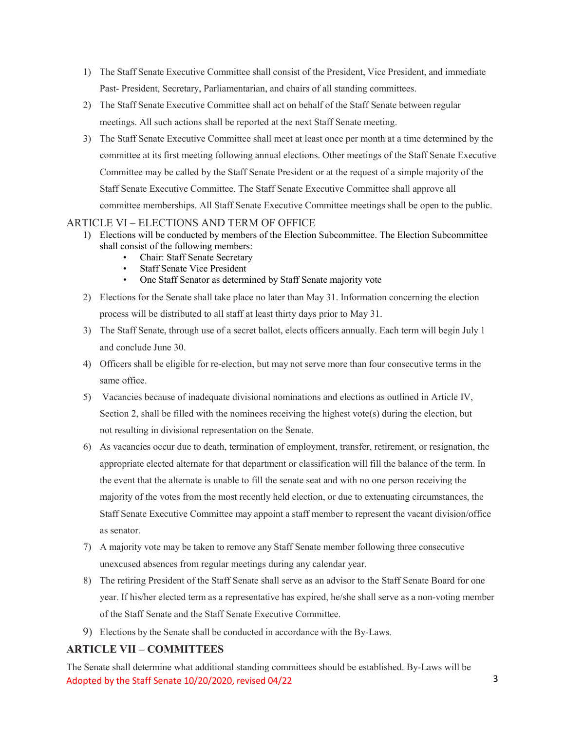- 1) The Staff Senate Executive Committee shall consist of the President, Vice President, and immediate Past- President, Secretary, Parliamentarian, and chairs of all standing committees.
- 2) The Staff Senate Executive Committee shall act on behalf of the Staff Senate between regular meetings. All such actions shall be reported at the next Staff Senate meeting.
- 3) The Staff Senate Executive Committee shall meet at least once per month at a time determined by the committee at its first meeting following annual elections. Other meetings of the Staff Senate Executive Committee may be called by the Staff Senate President or at the request of a simple majority of the Staff Senate Executive Committee. The Staff Senate Executive Committee shall approve all committee memberships. All Staff Senate Executive Committee meetings shall be open to the public.

# ARTICLE VI – ELECTIONS AND TERM OF OFFICE

- 1) Elections will be conducted by members of the Election Subcommittee. The Election Subcommittee shall consist of the following members:
	- Chair: Staff Senate Secretary
	- **Staff Senate Vice President**
	- One Staff Senator as determined by Staff Senate majority vote
- 2) Elections for the Senate shall take place no later than May 31. Information concerning the election process will be distributed to all staff at least thirty days prior to May 31.
- 3) The Staff Senate, through use of a secret ballot, elects officers annually. Each term will begin July 1 and conclude June 30.
- 4) Officers shall be eligible for re-election, but may not serve more than four consecutive terms in the same office.
- 5) Vacancies because of inadequate divisional nominations and elections as outlined in Article IV, Section 2, shall be filled with the nominees receiving the highest vote(s) during the election, but not resulting in divisional representation on the Senate.
- 6) As vacancies occur due to death, termination of employment, transfer, retirement, or resignation, the appropriate elected alternate for that department or classification will fill the balance of the term. In the event that the alternate is unable to fill the senate seat and with no one person receiving the majority of the votes from the most recently held election, or due to extenuating circumstances, the Staff Senate Executive Committee may appoint a staff member to represent the vacant division/office as senator.
- 7) A majority vote may be taken to remove any Staff Senate member following three consecutive unexcused absences from regular meetings during any calendar year.
- 8) The retiring President of the Staff Senate shall serve as an advisor to the Staff Senate Board for one year. If his/her elected term as a representative has expired, he/she shall serve as a non-voting member of the Staff Senate and the Staff Senate Executive Committee.
- 9) Elections by the Senate shall be conducted in accordance with the By-Laws.

# **ARTICLE VII – COMMITTEES**

Adopted by the Staff Senate 10/20/2020, revised 04/22 3 The Senate shall determine what additional standing committees should be established. By-Laws will be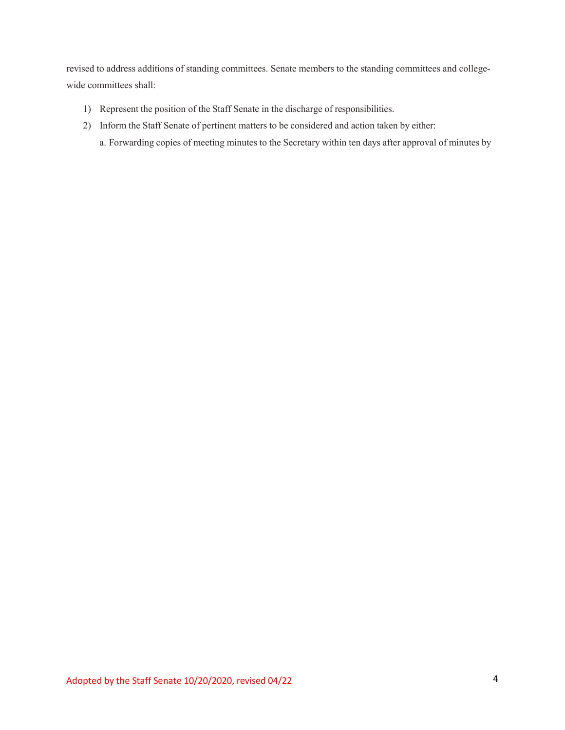revised to address additions of standing committees. Senate members to the standing committees and collegewide committees shall:

- 1) Represent the position of the Staff Senate in the discharge of responsibilities.
- 2) Inform the Staff Senate of pertinent matters to be considered and action taken by either:
	- a. Forwarding copies of meeting minutes to the Secretary within ten days after approval of minutes by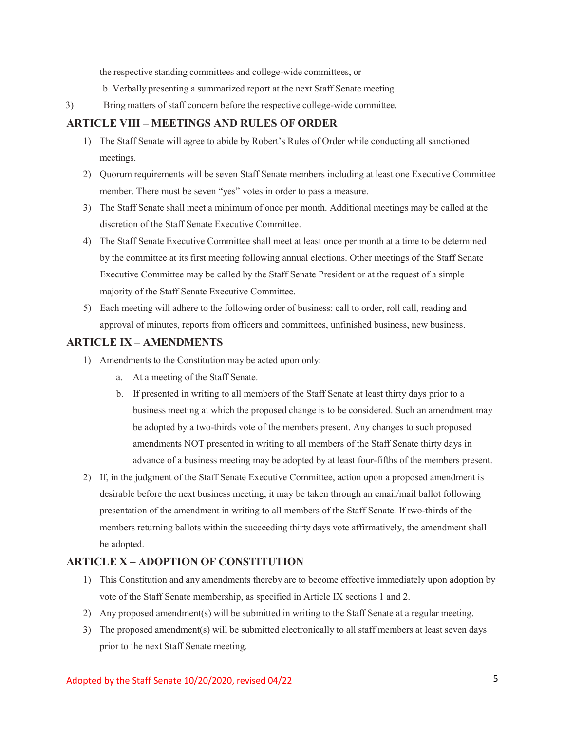the respective standing committees and college-wide committees, or

b. Verbally presenting a summarized report at the next Staff Senate meeting.

3) Bring matters of staff concern before the respective college-wide committee.

# **ARTICLE VIII – MEETINGS AND RULES OF ORDER**

- 1) The Staff Senate will agree to abide by Robert's Rules of Order while conducting all sanctioned meetings.
- 2) Quorum requirements will be seven Staff Senate members including at least one Executive Committee member. There must be seven "yes" votes in order to pass a measure.
- 3) The Staff Senate shall meet a minimum of once per month. Additional meetings may be called at the discretion of the Staff Senate Executive Committee.
- 4) The Staff Senate Executive Committee shall meet at least once per month at a time to be determined by the committee at its first meeting following annual elections. Other meetings of the Staff Senate Executive Committee may be called by the Staff Senate President or at the request of a simple majority of the Staff Senate Executive Committee.
- 5) Each meeting will adhere to the following order of business: call to order, roll call, reading and approval of minutes, reports from officers and committees, unfinished business, new business.

## **ARTICLE IX – AMENDMENTS**

- 1) Amendments to the Constitution may be acted upon only:
	- a. At a meeting of the Staff Senate.
	- b. If presented in writing to all members of the Staff Senate at least thirty days prior to a business meeting at which the proposed change is to be considered. Such an amendment may be adopted by a two-thirds vote of the members present. Any changes to such proposed amendments NOT presented in writing to all members of the Staff Senate thirty days in advance of a business meeting may be adopted by at least four-fifths of the members present.
- 2) If, in the judgment of the Staff Senate Executive Committee, action upon a proposed amendment is desirable before the next business meeting, it may be taken through an email/mail ballot following presentation of the amendment in writing to all members of the Staff Senate. If two-thirds of the members returning ballots within the succeeding thirty days vote affirmatively, the amendment shall be adopted.

## **ARTICLE X – ADOPTION OF CONSTITUTION**

- 1) This Constitution and any amendments thereby are to become effective immediately upon adoption by vote of the Staff Senate membership, as specified in Article IX sections 1 and 2.
- 2) Any proposed amendment(s) will be submitted in writing to the Staff Senate at a regular meeting.
- 3) The proposed amendment(s) will be submitted electronically to all staff members at least seven days prior to the next Staff Senate meeting.